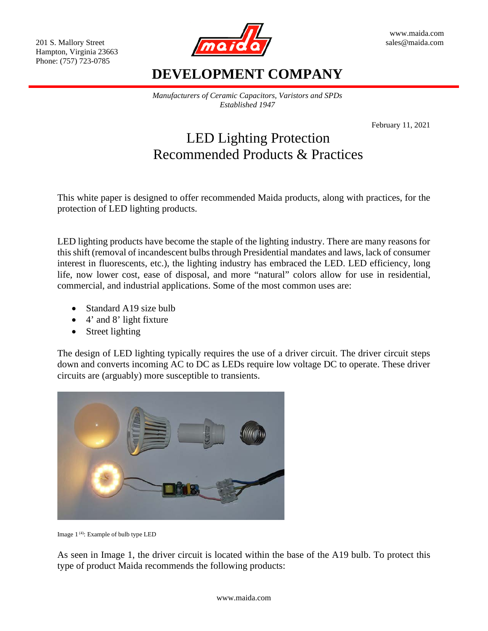Hampton, Virginia 23663 Phone: (757) 723-0785



## **DEVELOPMENT COMPANY**

*Manufacturers of Ceramic Capacitors, Varistors and SPDs Established 1947*

February 11, 2021

# LED Lighting Protection Recommended Products & Practices

This white paper is designed to offer recommended Maida products, along with practices, for the protection of LED lighting products.

LED lighting products have become the staple of the lighting industry. There are many reasons for this shift (removal of incandescent bulbs through Presidential mandates and laws, lack of consumer interest in fluorescents, etc.), the lighting industry has embraced the LED. LED efficiency, long life, now lower cost, ease of disposal, and more "natural" colors allow for use in residential, commercial, and industrial applications. Some of the most common uses are:

- Standard A19 size bulb
- 4' and 8' light fixture
- Street lighting

The design of LED lighting typically requires the use of a driver circuit. The driver circuit steps down and converts incoming AC to DC as LEDs require low voltage DC to operate. These driver circuits are (arguably) more susceptible to transients.



Image 1 (4): Example of bulb type LED

As seen in Image 1, the driver circuit is located within the base of the A19 bulb. To protect this type of product Maida recommends the following products: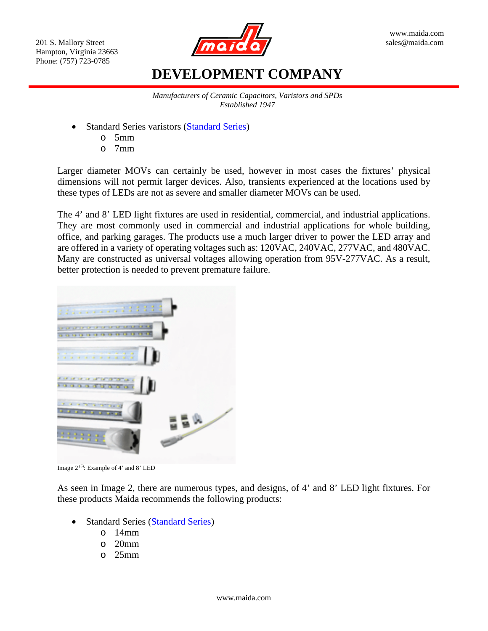

# **DEVELOPMENT COMPANY**

*Manufacturers of Ceramic Capacitors, Varistors and SPDs Established 1947*

- Standard Series varistors [\(Standard Series\)](http://www.maida.com/pdf/Standard%20Series.pdf)
	- o 5mm
	- o 7mm

Larger diameter MOVs can certainly be used, however in most cases the fixtures' physical dimensions will not permit larger devices. Also, transients experienced at the locations used by these types of LEDs are not as severe and smaller diameter MOVs can be used.

The 4' and 8' LED light fixtures are used in residential, commercial, and industrial applications. They are most commonly used in commercial and industrial applications for whole building, office, and parking garages. The products use a much larger driver to power the LED array and are offered in a variety of operating voltages such as: 120VAC, 240VAC, 277VAC, and 480VAC. Many are constructed as universal voltages allowing operation from 95V-277VAC. As a result, better protection is needed to prevent premature failure.



Image 2<sup>(5)</sup>: Example of 4' and 8' LED

As seen in Image 2, there are numerous types, and designs, of 4' and 8' LED light fixtures. For these products Maida recommends the following products:

- Standard Series [\(Standard Series\)](http://www.maida.com/pdf/Standard%20Series.pdf)
	- o 14mm
	- o 20mm
	- o 25mm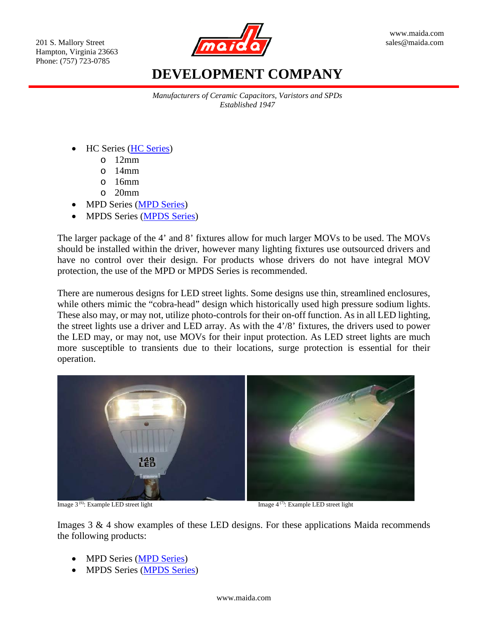Hampton, Virginia 23663 Phone: (757) 723-0785



# **DEVELOPMENT COMPANY**

*Manufacturers of Ceramic Capacitors, Varistors and SPDs Established 1947*

- HC Series [\(HC Series\)](http://www.maida.com/pdf/HC%20Series.pdf)
	- o 12mm
	- $O$  14mm
	- $\circ$  16mm
	- o 20mm
- MPD Series [\(MPD Series\)](http://www.maida.com/pdf/MPD%20Series.pdf)
- MPDS Series [\(MPDS Series\)](http://www.maida.com/pdf/MPDS%20SERIES%20Ver1_4.pdf)

The larger package of the 4' and 8' fixtures allow for much larger MOVs to be used. The MOVs should be installed within the driver, however many lighting fixtures use outsourced drivers and have no control over their design. For products whose drivers do not have integral MOV protection, the use of the MPD or MPDS Series is recommended.

There are numerous designs for LED street lights. Some designs use thin, streamlined enclosures, while others mimic the "cobra-head" design which historically used high pressure sodium lights. These also may, or may not, utilize photo-controls for their on-off function. As in all LED lighting, the street lights use a driver and LED array. As with the 4'/8' fixtures, the drivers used to power the LED may, or may not, use MOVs for their input protection. As LED street lights are much more susceptible to transients due to their locations, surge protection is essential for their operation.



Image  $3^{(6)}$ : Example LED street light Image  $4^{(7)}$ 

Image 4<sup>(7)</sup>: Example LED street light

Images 3 & 4 show examples of these LED designs. For these applications Maida recommends the following products:

- MPD Series [\(MPD Series\)](http://www.maida.com/pdf/MPD%20Series.pdf)
- MPDS Series [\(MPDS Series\)](http://www.maida.com/pdf/MPDS%20SERIES%20Ver1_4.pdf)